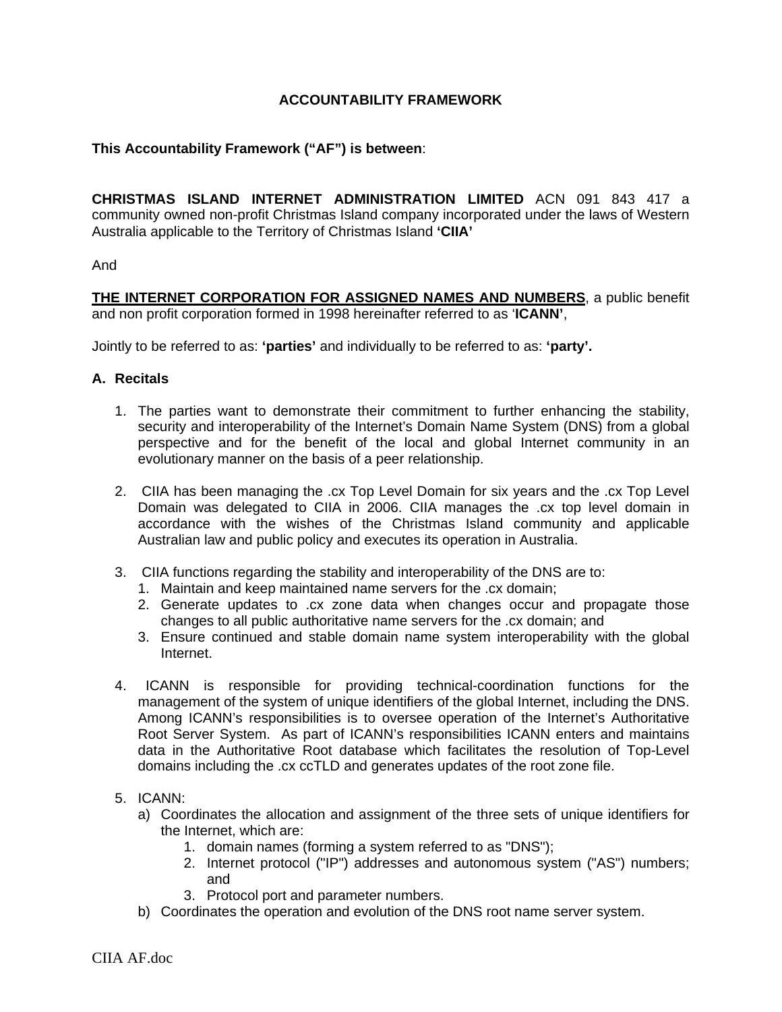# **ACCOUNTABILITY FRAMEWORK**

# **This Accountability Framework ("AF") is between**:

**CHRISTMAS ISLAND INTERNET ADMINISTRATION LIMITED** ACN 091 843 417 a community owned non-profit Christmas Island company incorporated under the laws of Western Australia applicable to the Territory of Christmas Island **'CIIA'**

#### And

**THE INTERNET CORPORATION FOR ASSIGNED NAMES AND NUMBERS**, a public benefit and non profit corporation formed in 1998 hereinafter referred to as '**ICANN'**,

Jointly to be referred to as: **'parties'** and individually to be referred to as: **'party'.**

#### **A. Recitals**

- 1. The parties want to demonstrate their commitment to further enhancing the stability, security and interoperability of the Internet's Domain Name System (DNS) from a global perspective and for the benefit of the local and global Internet community in an evolutionary manner on the basis of a peer relationship.
- 2. CIIA has been managing the .cx Top Level Domain for six years and the .cx Top Level Domain was delegated to CIIA in 2006. CIIA manages the .cx top level domain in accordance with the wishes of the Christmas Island community and applicable Australian law and public policy and executes its operation in Australia.
- 3. CIIA functions regarding the stability and interoperability of the DNS are to:
	- 1. Maintain and keep maintained name servers for the .cx domain;
	- 2. Generate updates to .cx zone data when changes occur and propagate those changes to all public authoritative name servers for the .cx domain; and
	- 3. Ensure continued and stable domain name system interoperability with the global Internet.
- 4. ICANN is responsible for providing technical-coordination functions for the management of the system of unique identifiers of the global Internet, including the DNS. Among ICANN's responsibilities is to oversee operation of the Internet's Authoritative Root Server System. As part of ICANN's responsibilities ICANN enters and maintains data in the Authoritative Root database which facilitates the resolution of Top-Level domains including the .cx ccTLD and generates updates of the root zone file.

#### 5. ICANN:

- a) Coordinates the allocation and assignment of the three sets of unique identifiers for the Internet, which are:
	- 1. domain names (forming a system referred to as "DNS");
	- 2. Internet protocol ("IP") addresses and autonomous system ("AS") numbers; and
	- 3. Protocol port and parameter numbers.
- b) Coordinates the operation and evolution of the DNS root name server system.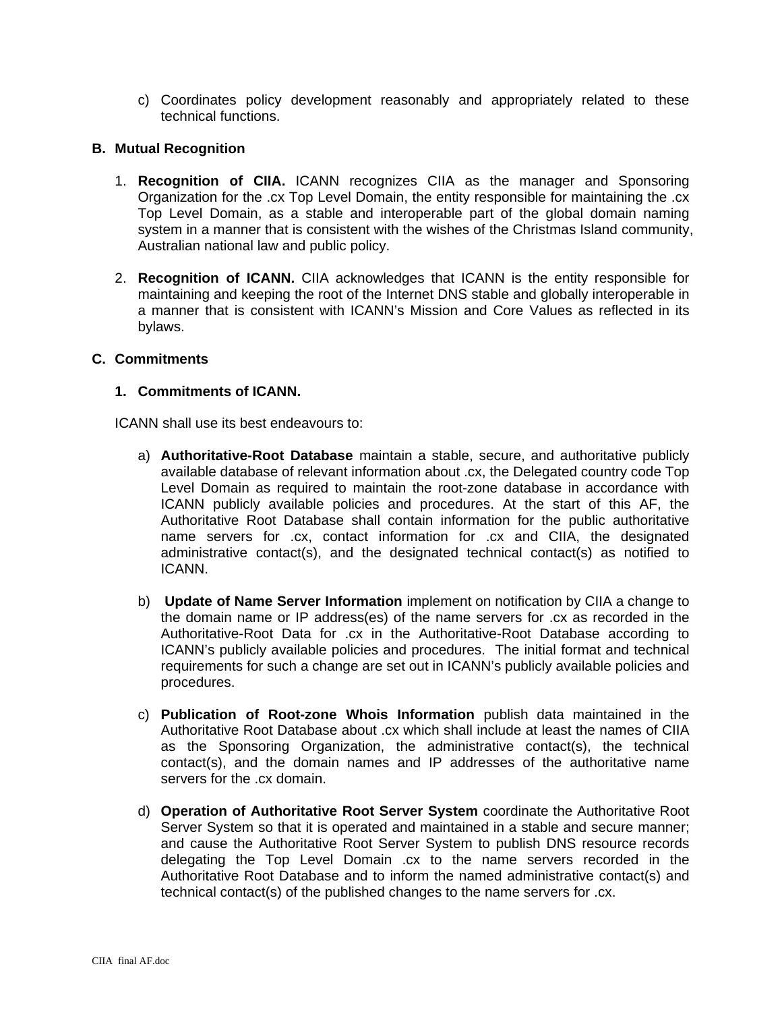c) Coordinates policy development reasonably and appropriately related to these technical functions.

## **B. Mutual Recognition**

- 1. **Recognition of CIIA.** ICANN recognizes CIIA as the manager and Sponsoring Organization for the .cx Top Level Domain, the entity responsible for maintaining the .cx Top Level Domain, as a stable and interoperable part of the global domain naming system in a manner that is consistent with the wishes of the Christmas Island community, Australian national law and public policy.
- 2. **Recognition of ICANN.** CIIA acknowledges that ICANN is the entity responsible for maintaining and keeping the root of the Internet DNS stable and globally interoperable in a manner that is consistent with ICANN's Mission and Core Values as reflected in its bylaws.

# **C. Commitments**

### **1. Commitments of ICANN.**

ICANN shall use its best endeavours to:

- a) **Authoritative-Root Database** maintain a stable, secure, and authoritative publicly available database of relevant information about .cx, the Delegated country code Top Level Domain as required to maintain the root-zone database in accordance with ICANN publicly available policies and procedures. At the start of this AF, the Authoritative Root Database shall contain information for the public authoritative name servers for .cx, contact information for .cx and CIIA, the designated administrative contact(s), and the designated technical contact(s) as notified to ICANN.
- b) **Update of Name Server Information** implement on notification by CIIA a change to the domain name or IP address(es) of the name servers for .cx as recorded in the Authoritative-Root Data for .cx in the Authoritative-Root Database according to ICANN's publicly available policies and procedures. The initial format and technical requirements for such a change are set out in ICANN's publicly available policies and procedures.
- c) **Publication of Root-zone Whois Information** publish data maintained in the Authoritative Root Database about .cx which shall include at least the names of CIIA as the Sponsoring Organization, the administrative contact(s), the technical contact(s), and the domain names and IP addresses of the authoritative name servers for the .cx domain.
- d) **Operation of Authoritative Root Server System** coordinate the Authoritative Root Server System so that it is operated and maintained in a stable and secure manner; and cause the Authoritative Root Server System to publish DNS resource records delegating the Top Level Domain .cx to the name servers recorded in the Authoritative Root Database and to inform the named administrative contact(s) and technical contact(s) of the published changes to the name servers for .cx.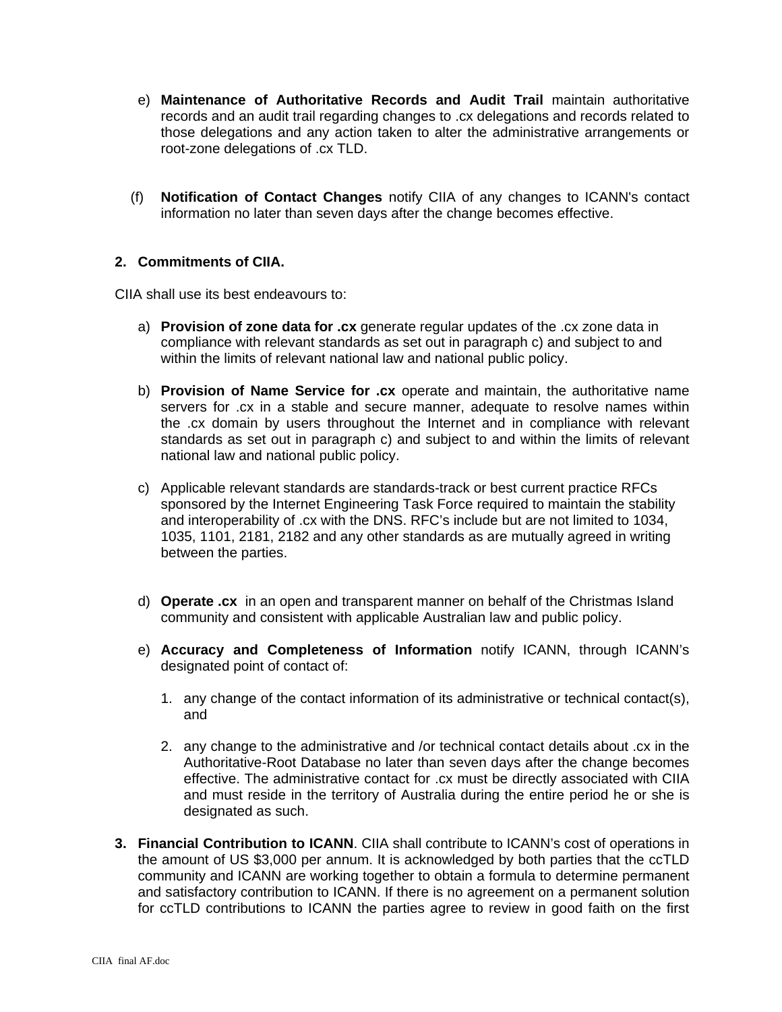- e) **Maintenance of Authoritative Records and Audit Trail** maintain authoritative records and an audit trail regarding changes to .cx delegations and records related to those delegations and any action taken to alter the administrative arrangements or root-zone delegations of .cx TLD.
- (f) **Notification of Contact Changes** notify CIIA of any changes to ICANN's contact information no later than seven days after the change becomes effective.

# **2. Commitments of CIIA.**

CIIA shall use its best endeavours to:

- a) **Provision of zone data for .cx** generate regular updates of the .cx zone data in compliance with relevant standards as set out in paragraph c) and subject to and within the limits of relevant national law and national public policy.
- b) **Provision of Name Service for .cx** operate and maintain, the authoritative name servers for .cx in a stable and secure manner, adequate to resolve names within the .cx domain by users throughout the Internet and in compliance with relevant standards as set out in paragraph c) and subject to and within the limits of relevant national law and national public policy.
- c) Applicable relevant standards are standards-track or best current practice RFCs sponsored by the Internet Engineering Task Force required to maintain the stability and interoperability of .cx with the DNS. RFC's include but are not limited to 1034, 1035, 1101, 2181, 2182 and any other standards as are mutually agreed in writing between the parties.
- d) **Operate .cx** in an open and transparent manner on behalf of the Christmas Island community and consistent with applicable Australian law and public policy.
- e) **Accuracy and Completeness of Information** notify ICANN, through ICANN's designated point of contact of:
	- 1. any change of the contact information of its administrative or technical contact(s), and
	- 2. any change to the administrative and /or technical contact details about .cx in the Authoritative-Root Database no later than seven days after the change becomes effective. The administrative contact for .cx must be directly associated with CIIA and must reside in the territory of Australia during the entire period he or she is designated as such.
- **3. Financial Contribution to ICANN**. CIIA shall contribute to ICANN's cost of operations in the amount of US \$3,000 per annum. It is acknowledged by both parties that the ccTLD community and ICANN are working together to obtain a formula to determine permanent and satisfactory contribution to ICANN. If there is no agreement on a permanent solution for ccTLD contributions to ICANN the parties agree to review in good faith on the first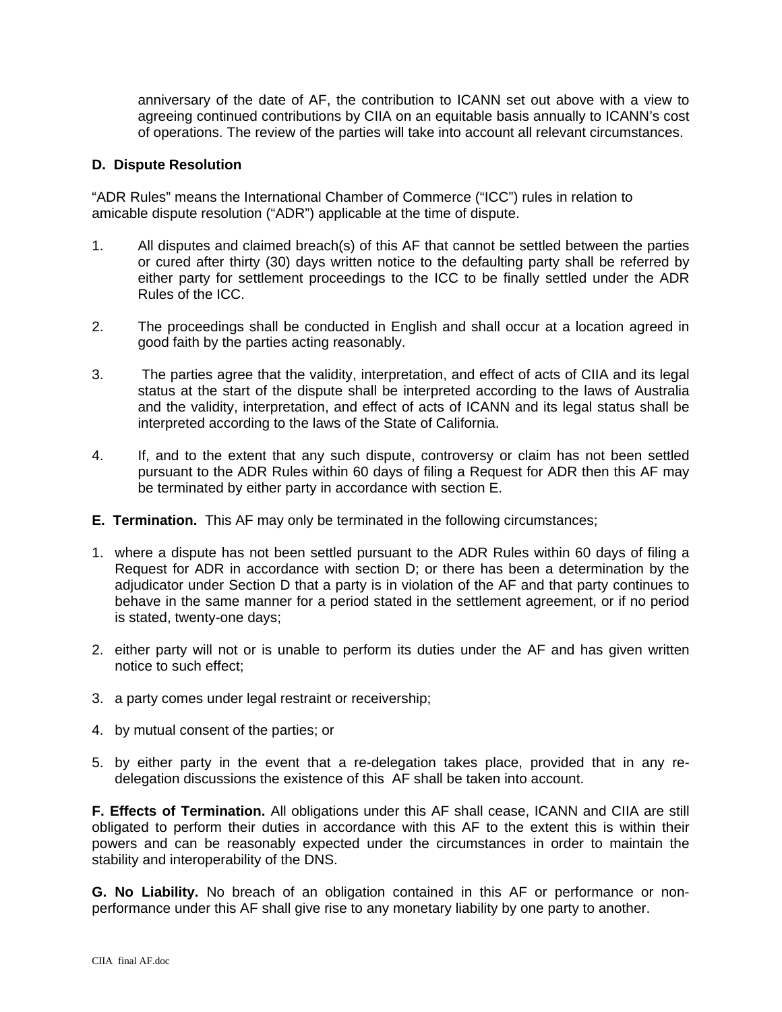anniversary of the date of AF, the contribution to ICANN set out above with a view to agreeing continued contributions by CIIA on an equitable basis annually to ICANN's cost of operations. The review of the parties will take into account all relevant circumstances.

### **D. Dispute Resolution**

"ADR Rules" means the International Chamber of Commerce ("ICC") rules in relation to amicable dispute resolution ("ADR") applicable at the time of dispute.

- 1. All disputes and claimed breach(s) of this AF that cannot be settled between the parties or cured after thirty (30) days written notice to the defaulting party shall be referred by either party for settlement proceedings to the ICC to be finally settled under the ADR Rules of the ICC.
- 2. The proceedings shall be conducted in English and shall occur at a location agreed in good faith by the parties acting reasonably.
- 3. The parties agree that the validity, interpretation, and effect of acts of CIIA and its legal status at the start of the dispute shall be interpreted according to the laws of Australia and the validity, interpretation, and effect of acts of ICANN and its legal status shall be interpreted according to the laws of the State of California.
- 4. If, and to the extent that any such dispute, controversy or claim has not been settled pursuant to the ADR Rules within 60 days of filing a Request for ADR then this AF may be terminated by either party in accordance with section E.
- **E. Termination.** This AF may only be terminated in the following circumstances;
- 1. where a dispute has not been settled pursuant to the ADR Rules within 60 days of filing a Request for ADR in accordance with section D; or there has been a determination by the adjudicator under Section D that a party is in violation of the AF and that party continues to behave in the same manner for a period stated in the settlement agreement, or if no period is stated, twenty-one days;
- 2. either party will not or is unable to perform its duties under the AF and has given written notice to such effect;
- 3. a party comes under legal restraint or receivership;
- 4. by mutual consent of the parties; or
- 5. by either party in the event that a re-delegation takes place, provided that in any redelegation discussions the existence of this AF shall be taken into account.

**F. Effects of Termination.** All obligations under this AF shall cease, ICANN and CIIA are still obligated to perform their duties in accordance with this AF to the extent this is within their powers and can be reasonably expected under the circumstances in order to maintain the stability and interoperability of the DNS.

**G. No Liability.** No breach of an obligation contained in this AF or performance or nonperformance under this AF shall give rise to any monetary liability by one party to another.